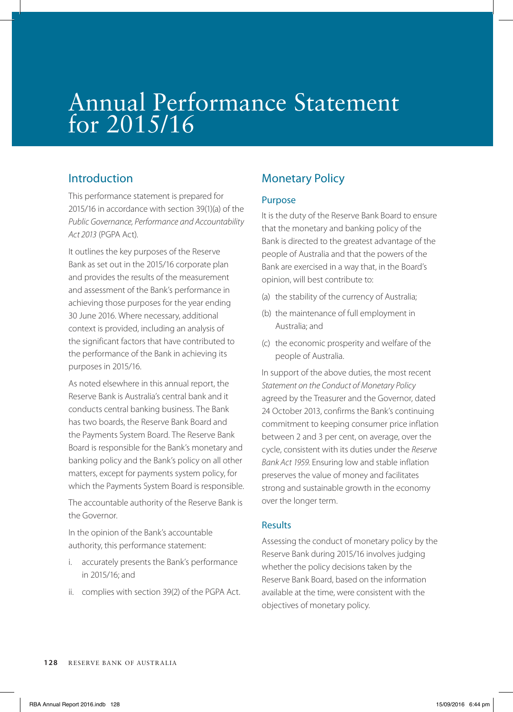# Annual Performance Statement for 2015/16

## Introduction

This performance statement is prepared for 2015/16 in accordance with section 39(1)(a) of the *Public Governance, Performance and Accountability Act 2013* (PGPA Act).

It outlines the key purposes of the Reserve Bank as set out in the 2015/16 corporate plan and provides the results of the measurement and assessment of the Bank's performance in achieving those purposes for the year ending 30 June 2016. Where necessary, additional context is provided, including an analysis of the significant factors that have contributed to the performance of the Bank in achieving its purposes in 2015/16.

As noted elsewhere in this annual report, the Reserve Bank is Australia's central bank and it conducts central banking business. The Bank has two boards, the Reserve Bank Board and the Payments System Board. The Reserve Bank Board is responsible for the Bank's monetary and banking policy and the Bank's policy on all other matters, except for payments system policy, for which the Payments System Board is responsible.

The accountable authority of the Reserve Bank is the Governor.

In the opinion of the Bank's accountable authority, this performance statement:

- i. accurately presents the Bank's performance in 2015/16; and
- ii. complies with section 39(2) of the PGPA Act.

# Monetary Policy

#### Purpose

It is the duty of the Reserve Bank Board to ensure that the monetary and banking policy of the Bank is directed to the greatest advantage of the people of Australia and that the powers of the Bank are exercised in a way that, in the Board's opinion, will best contribute to:

- (a) the stability of the currency of Australia;
- (b) the maintenance of full employment in Australia; and
- (c) the economic prosperity and welfare of the people of Australia.

In support of the above duties, the most recent *Statement on the Conduct of Monetary Policy* agreed by the Treasurer and the Governor, dated 24 October 2013, confirms the Bank's continuing commitment to keeping consumer price inflation between 2 and 3 per cent, on average, over the cycle, consistent with its duties under the *Reserve Bank Act 1959*. Ensuring low and stable inflation preserves the value of money and facilitates strong and sustainable growth in the economy over the longer term.

#### Results

Assessing the conduct of monetary policy by the Reserve Bank during 2015/16 involves judging whether the policy decisions taken by the Reserve Bank Board, based on the information available at the time, were consistent with the objectives of monetary policy.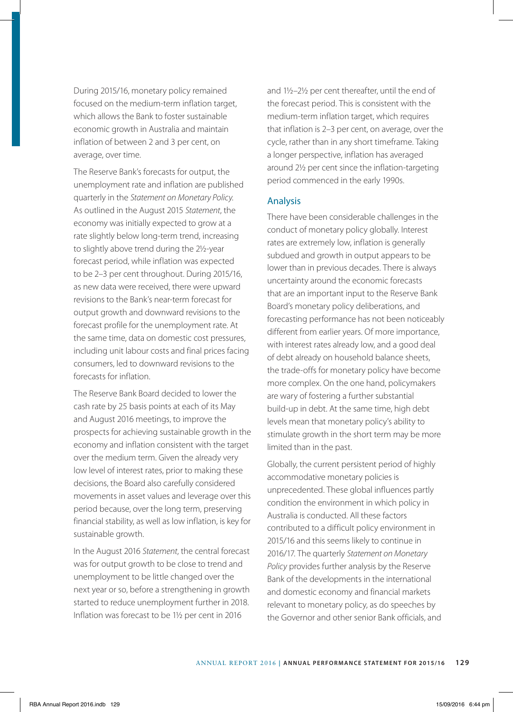During 2015/16, monetary policy remained focused on the medium-term inflation target, which allows the Bank to foster sustainable economic growth in Australia and maintain inflation of between 2 and 3 per cent, on average, over time.

The Reserve Bank's forecasts for output, the unemployment rate and inflation are published quarterly in the *Statement on Monetary Policy*. As outlined in the August 2015 *Statement*, the economy was initially expected to grow at a rate slightly below long-term trend, increasing to slightly above trend during the 2½-year forecast period, while inflation was expected to be 2–3 per cent throughout. During 2015/16, as new data were received, there were upward revisions to the Bank's near-term forecast for output growth and downward revisions to the forecast profile for the unemployment rate. At the same time, data on domestic cost pressures, including unit labour costs and final prices facing consumers, led to downward revisions to the forecasts for inflation.

The Reserve Bank Board decided to lower the cash rate by 25 basis points at each of its May and August 2016 meetings, to improve the prospects for achieving sustainable growth in the economy and inflation consistent with the target over the medium term. Given the already very low level of interest rates, prior to making these decisions, the Board also carefully considered movements in asset values and leverage over this period because, over the long term, preserving financial stability, as well as low inflation, is key for sustainable growth.

In the August 2016 *Statement*, the central forecast was for output growth to be close to trend and unemployment to be little changed over the next year or so, before a strengthening in growth started to reduce unemployment further in 2018. Inflation was forecast to be 1½ per cent in 2016

and 1½–2½ per cent thereafter, until the end of the forecast period. This is consistent with the medium-term inflation target, which requires that inflation is 2–3 per cent, on average, over the cycle, rather than in any short timeframe. Taking a longer perspective, inflation has averaged around 2½ per cent since the inflation-targeting period commenced in the early 1990s.

#### Analysis

There have been considerable challenges in the conduct of monetary policy globally. Interest rates are extremely low, inflation is generally subdued and growth in output appears to be lower than in previous decades. There is always uncertainty around the economic forecasts that are an important input to the Reserve Bank Board's monetary policy deliberations, and forecasting performance has not been noticeably different from earlier years. Of more importance, with interest rates already low, and a good deal of debt already on household balance sheets, the trade-offs for monetary policy have become more complex. On the one hand, policymakers are wary of fostering a further substantial build-up in debt. At the same time, high debt levels mean that monetary policy's ability to stimulate growth in the short term may be more limited than in the past.

Globally, the current persistent period of highly accommodative monetary policies is unprecedented. These global influences partly condition the environment in which policy in Australia is conducted. All these factors contributed to a difficult policy environment in 2015/16 and this seems likely to continue in 2016/17. The quarterly *Statement on Monetary Policy* provides further analysis by the Reserve Bank of the developments in the international and domestic economy and financial markets relevant to monetary policy, as do speeches by the Governor and other senior Bank officials, and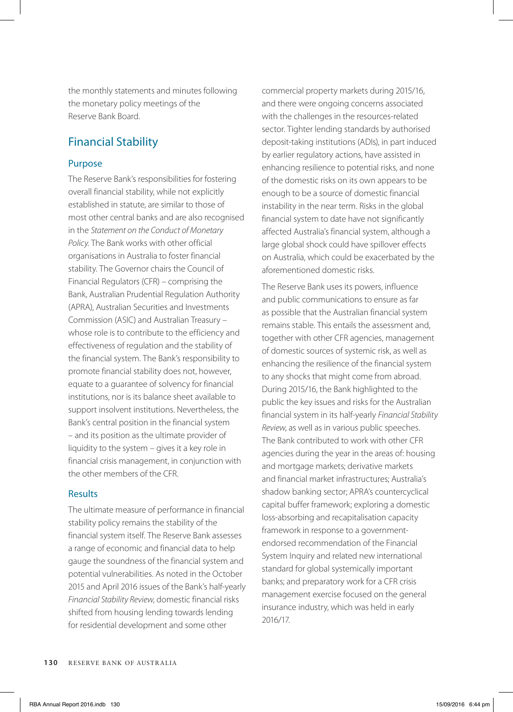the monthly statements and minutes following the monetary policy meetings of the Reserve Bank Board.

## Financial Stability

#### Purpose

The Reserve Bank's responsibilities for fostering overall financial stability, while not explicitly established in statute, are similar to those of most other central banks and are also recognised in the *Statement on the Conduct of Monetary Policy*. The Bank works with other official organisations in Australia to foster financial stability. The Governor chairs the Council of Financial Regulators (CFR) – comprising the Bank, Australian Prudential Regulation Authority (APRA), Australian Securities and Investments Commission (ASIC) and Australian Treasury – whose role is to contribute to the efficiency and effectiveness of regulation and the stability of the financial system. The Bank's responsibility to promote financial stability does not, however, equate to a guarantee of solvency for financial institutions, nor is its balance sheet available to support insolvent institutions. Nevertheless, the Bank's central position in the financial system – and its position as the ultimate provider of liquidity to the system – gives it a key role in financial crisis management, in conjunction with the other members of the CFR.

#### Results

The ultimate measure of performance in financial stability policy remains the stability of the financial system itself. The Reserve Bank assesses a range of economic and financial data to help gauge the soundness of the financial system and potential vulnerabilities. As noted in the October 2015 and April 2016 issues of the Bank's half-yearly *Financial Stability Review*, domestic financial risks shifted from housing lending towards lending for residential development and some other

commercial property markets during 2015/16, and there were ongoing concerns associated with the challenges in the resources-related sector. Tighter lending standards by authorised deposit-taking institutions (ADIs), in part induced by earlier regulatory actions, have assisted in enhancing resilience to potential risks, and none of the domestic risks on its own appears to be enough to be a source of domestic financial instability in the near term. Risks in the global financial system to date have not significantly affected Australia's financial system, although a large global shock could have spillover effects on Australia, which could be exacerbated by the aforementioned domestic risks.

The Reserve Bank uses its powers, influence and public communications to ensure as far as possible that the Australian financial system remains stable. This entails the assessment and, together with other CFR agencies, management of domestic sources of systemic risk, as well as enhancing the resilience of the financial system to any shocks that might come from abroad. During 2015/16, the Bank highlighted to the public the key issues and risks for the Australian financial system in its half-yearly *Financial Stability Review*, as well as in various public speeches. The Bank contributed to work with other CFR agencies during the year in the areas of: housing and mortgage markets; derivative markets and financial market infrastructures; Australia's shadow banking sector; APRA's countercyclical capital buffer framework; exploring a domestic loss-absorbing and recapitalisation capacity framework in response to a governmentendorsed recommendation of the Financial System Inquiry and related new international standard for global systemically important banks; and preparatory work for a CFR crisis management exercise focused on the general insurance industry, which was held in early 2016/17.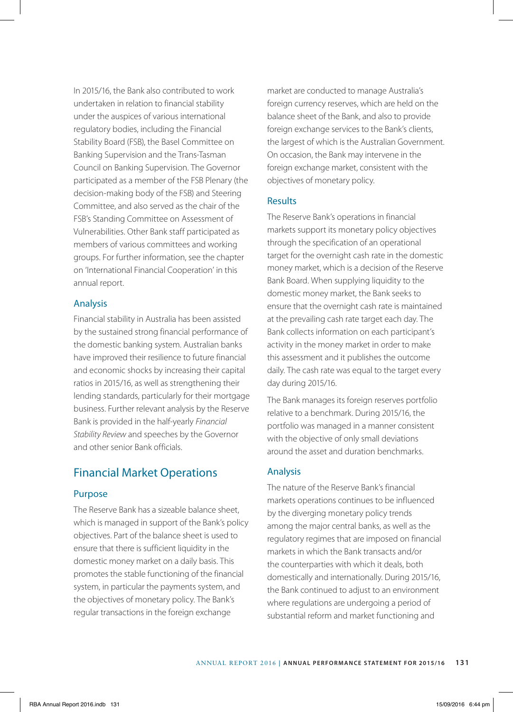In 2015/16, the Bank also contributed to work undertaken in relation to financial stability under the auspices of various international regulatory bodies, including the Financial Stability Board (FSB), the Basel Committee on Banking Supervision and the Trans-Tasman Council on Banking Supervision. The Governor participated as a member of the FSB Plenary (the decision-making body of the FSB) and Steering Committee, and also served as the chair of the FSB's Standing Committee on Assessment of Vulnerabilities. Other Bank staff participated as members of various committees and working groups. For further information, see the chapter on 'International Financial Cooperation' in this annual report.

#### Analysis

Financial stability in Australia has been assisted by the sustained strong financial performance of the domestic banking system. Australian banks have improved their resilience to future financial and economic shocks by increasing their capital ratios in 2015/16, as well as strengthening their lending standards, particularly for their mortgage business. Further relevant analysis by the Reserve Bank is provided in the half-yearly *Financial Stability Review* and speeches by the Governor and other senior Bank officials.

### Financial Market Operations

#### Purpose

The Reserve Bank has a sizeable balance sheet, which is managed in support of the Bank's policy objectives. Part of the balance sheet is used to ensure that there is sufficient liquidity in the domestic money market on a daily basis. This promotes the stable functioning of the financial system, in particular the payments system, and the objectives of monetary policy. The Bank's regular transactions in the foreign exchange

market are conducted to manage Australia's foreign currency reserves, which are held on the balance sheet of the Bank, and also to provide foreign exchange services to the Bank's clients, the largest of which is the Australian Government. On occasion, the Bank may intervene in the foreign exchange market, consistent with the objectives of monetary policy.

#### **Results**

The Reserve Bank's operations in financial markets support its monetary policy objectives through the specification of an operational target for the overnight cash rate in the domestic money market, which is a decision of the Reserve Bank Board. When supplying liquidity to the domestic money market, the Bank seeks to ensure that the overnight cash rate is maintained at the prevailing cash rate target each day. The Bank collects information on each participant's activity in the money market in order to make this assessment and it publishes the outcome daily. The cash rate was equal to the target every day during 2015/16.

The Bank manages its foreign reserves portfolio relative to a benchmark. During 2015/16, the portfolio was managed in a manner consistent with the objective of only small deviations around the asset and duration benchmarks.

#### Analysis

The nature of the Reserve Bank's financial markets operations continues to be influenced by the diverging monetary policy trends among the major central banks, as well as the regulatory regimes that are imposed on financial markets in which the Bank transacts and/or the counterparties with which it deals, both domestically and internationally. During 2015/16, the Bank continued to adjust to an environment where regulations are undergoing a period of substantial reform and market functioning and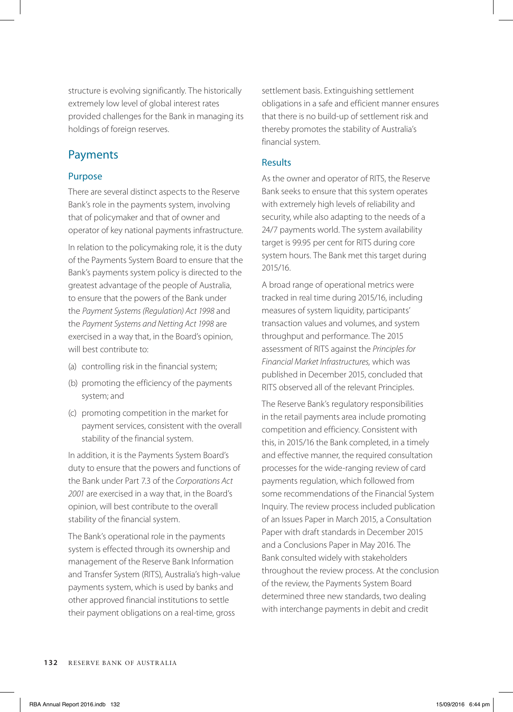structure is evolving significantly. The historically extremely low level of global interest rates provided challenges for the Bank in managing its holdings of foreign reserves.

## Payments

#### Purpose

There are several distinct aspects to the Reserve Bank's role in the payments system, involving that of policymaker and that of owner and operator of key national payments infrastructure.

In relation to the policymaking role, it is the duty of the Payments System Board to ensure that the Bank's payments system policy is directed to the greatest advantage of the people of Australia, to ensure that the powers of the Bank under the *Payment Systems (Regulation) Act 1998* and the *Payment Systems and Netting Act 1998* are exercised in a way that, in the Board's opinion, will best contribute to:

- (a) controlling risk in the financial system;
- (b) promoting the efficiency of the payments system; and
- (c) promoting competition in the market for payment services, consistent with the overall stability of the financial system.

In addition, it is the Payments System Board's duty to ensure that the powers and functions of the Bank under Part 7.3 of the *Corporations Act 2001* are exercised in a way that, in the Board's opinion, will best contribute to the overall stability of the financial system.

The Bank's operational role in the payments system is effected through its ownership and management of the Reserve Bank Information and Transfer System (RITS), Australia's high-value payments system, which is used by banks and other approved financial institutions to settle their payment obligations on a real-time, gross

settlement basis. Extinguishing settlement obligations in a safe and efficient manner ensures that there is no build-up of settlement risk and thereby promotes the stability of Australia's financial system.

#### Results

As the owner and operator of RITS, the Reserve Bank seeks to ensure that this system operates with extremely high levels of reliability and security, while also adapting to the needs of a 24/7 payments world. The system availability target is 99.95 per cent for RITS during core system hours. The Bank met this target during 2015/16.

A broad range of operational metrics were tracked in real time during 2015/16, including measures of system liquidity, participants' transaction values and volumes, and system throughput and performance. The 2015 assessment of RITS against the *Principles for Financial Market Infrastructures,* which was published in December 2015, concluded that RITS observed all of the relevant Principles.

The Reserve Bank's regulatory responsibilities in the retail payments area include promoting competition and efficiency. Consistent with this, in 2015/16 the Bank completed, in a timely and effective manner, the required consultation processes for the wide-ranging review of card payments regulation, which followed from some recommendations of the Financial System Inquiry. The review process included publication of an Issues Paper in March 2015, a Consultation Paper with draft standards in December 2015 and a Conclusions Paper in May 2016. The Bank consulted widely with stakeholders throughout the review process. At the conclusion of the review, the Payments System Board determined three new standards, two dealing with interchange payments in debit and credit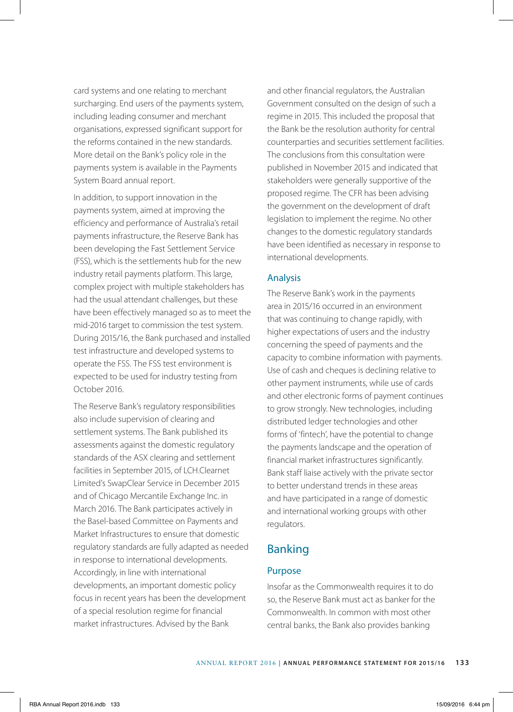card systems and one relating to merchant surcharging. End users of the payments system, including leading consumer and merchant organisations, expressed significant support for the reforms contained in the new standards. More detail on the Bank's policy role in the payments system is available in the Payments System Board annual report.

In addition, to support innovation in the payments system, aimed at improving the efficiency and performance of Australia's retail payments infrastructure, the Reserve Bank has been developing the Fast Settlement Service (FSS), which is the settlements hub for the new industry retail payments platform. This large, complex project with multiple stakeholders has had the usual attendant challenges, but these have been effectively managed so as to meet the mid-2016 target to commission the test system. During 2015/16, the Bank purchased and installed test infrastructure and developed systems to operate the FSS. The FSS test environment is expected to be used for industry testing from October 2016.

The Reserve Bank's regulatory responsibilities also include supervision of clearing and settlement systems. The Bank published its assessments against the domestic regulatory standards of the ASX clearing and settlement facilities in September 2015, of LCH.Clearnet Limited's SwapClear Service in December 2015 and of Chicago Mercantile Exchange Inc. in March 2016. The Bank participates actively in the Basel-based Committee on Payments and Market Infrastructures to ensure that domestic regulatory standards are fully adapted as needed in response to international developments. Accordingly, in line with international developments, an important domestic policy focus in recent years has been the development of a special resolution regime for financial market infrastructures. Advised by the Bank

and other financial regulators, the Australian Government consulted on the design of such a regime in 2015. This included the proposal that the Bank be the resolution authority for central counterparties and securities settlement facilities. The conclusions from this consultation were published in November 2015 and indicated that stakeholders were generally supportive of the proposed regime. The CFR has been advising the government on the development of draft legislation to implement the regime. No other changes to the domestic regulatory standards have been identified as necessary in response to international developments.

#### Analysis

The Reserve Bank's work in the payments area in 2015/16 occurred in an environment that was continuing to change rapidly, with higher expectations of users and the industry concerning the speed of payments and the capacity to combine information with payments. Use of cash and cheques is declining relative to other payment instruments, while use of cards and other electronic forms of payment continues to grow strongly. New technologies, including distributed ledger technologies and other forms of 'fintech', have the potential to change the payments landscape and the operation of financial market infrastructures significantly. Bank staff liaise actively with the private sector to better understand trends in these areas and have participated in a range of domestic and international working groups with other regulators.

## Banking

#### Purpose

Insofar as the Commonwealth requires it to do so, the Reserve Bank must act as banker for the Commonwealth. In common with most other central banks, the Bank also provides banking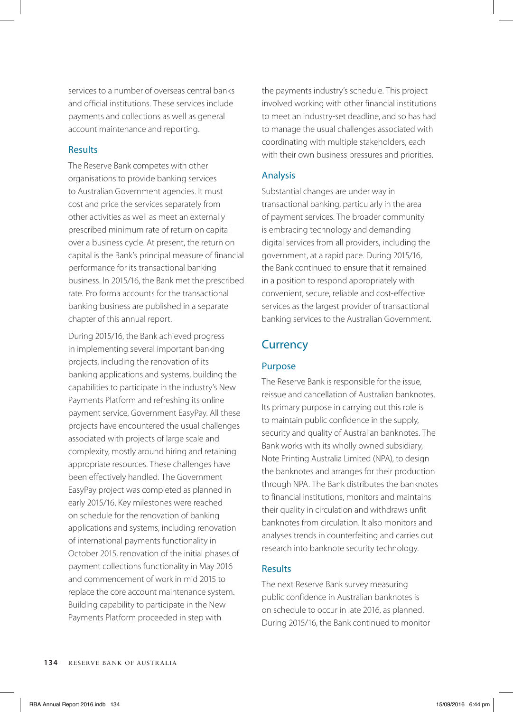services to a number of overseas central banks and official institutions. These services include payments and collections as well as general account maintenance and reporting.

#### Results

The Reserve Bank competes with other organisations to provide banking services to Australian Government agencies. It must cost and price the services separately from other activities as well as meet an externally prescribed minimum rate of return on capital over a business cycle. At present, the return on capital is the Bank's principal measure of financial performance for its transactional banking business. In 2015/16, the Bank met the prescribed rate. Pro forma accounts for the transactional banking business are published in a separate chapter of this annual report.

During 2015/16, the Bank achieved progress in implementing several important banking projects, including the renovation of its banking applications and systems, building the capabilities to participate in the industry's New Payments Platform and refreshing its online payment service, Government EasyPay. All these projects have encountered the usual challenges associated with projects of large scale and complexity, mostly around hiring and retaining appropriate resources. These challenges have been effectively handled. The Government EasyPay project was completed as planned in early 2015/16. Key milestones were reached on schedule for the renovation of banking applications and systems, including renovation of international payments functionality in October 2015, renovation of the initial phases of payment collections functionality in May 2016 and commencement of work in mid 2015 to replace the core account maintenance system. Building capability to participate in the New Payments Platform proceeded in step with

the payments industry's schedule. This project involved working with other financial institutions to meet an industry-set deadline, and so has had to manage the usual challenges associated with coordinating with multiple stakeholders, each with their own business pressures and priorities.

#### Analysis

Substantial changes are under way in transactional banking, particularly in the area of payment services. The broader community is embracing technology and demanding digital services from all providers, including the government, at a rapid pace. During 2015/16, the Bank continued to ensure that it remained in a position to respond appropriately with convenient, secure, reliable and cost-effective services as the largest provider of transactional banking services to the Australian Government.

# **Currency**

#### Purpose

The Reserve Bank is responsible for the issue, reissue and cancellation of Australian banknotes. Its primary purpose in carrying out this role is to maintain public confidence in the supply, security and quality of Australian banknotes. The Bank works with its wholly owned subsidiary, Note Printing Australia Limited (NPA), to design the banknotes and arranges for their production through NPA. The Bank distributes the banknotes to financial institutions, monitors and maintains their quality in circulation and withdraws unfit banknotes from circulation. It also monitors and analyses trends in counterfeiting and carries out research into banknote security technology.

#### Results

The next Reserve Bank survey measuring public confidence in Australian banknotes is on schedule to occur in late 2016, as planned. During 2015/16, the Bank continued to monitor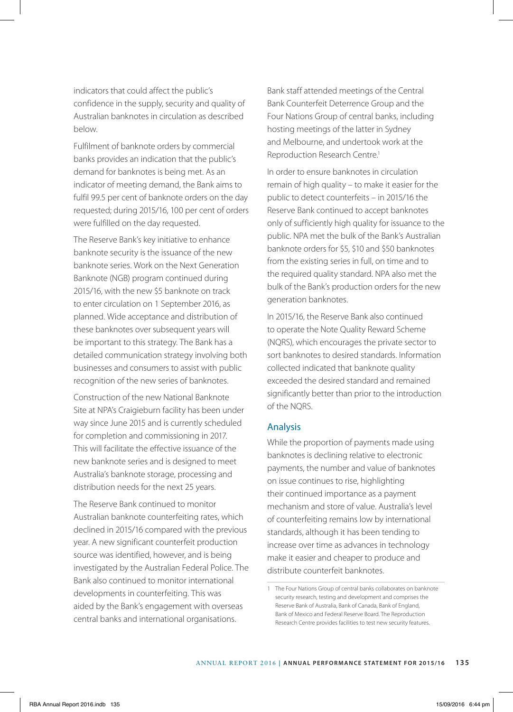indicators that could affect the public's confidence in the supply, security and quality of Australian banknotes in circulation as described below.

Fulfilment of banknote orders by commercial banks provides an indication that the public's demand for banknotes is being met. As an indicator of meeting demand, the Bank aims to fulfil 99.5 per cent of banknote orders on the day requested; during 2015/16, 100 per cent of orders were fulfilled on the day requested.

The Reserve Bank's key initiative to enhance banknote security is the issuance of the new banknote series. Work on the Next Generation Banknote (NGB) program continued during 2015/16, with the new \$5 banknote on track to enter circulation on 1 September 2016, as planned. Wide acceptance and distribution of these banknotes over subsequent years will be important to this strategy. The Bank has a detailed communication strategy involving both businesses and consumers to assist with public recognition of the new series of banknotes.

Construction of the new National Banknote Site at NPA's Craigieburn facility has been under way since June 2015 and is currently scheduled for completion and commissioning in 2017. This will facilitate the effective issuance of the new banknote series and is designed to meet Australia's banknote storage, processing and distribution needs for the next 25 years.

The Reserve Bank continued to monitor Australian banknote counterfeiting rates, which declined in 2015/16 compared with the previous year. A new significant counterfeit production source was identified, however, and is being investigated by the Australian Federal Police. The Bank also continued to monitor international developments in counterfeiting. This was aided by the Bank's engagement with overseas central banks and international organisations.

Bank staff attended meetings of the Central Bank Counterfeit Deterrence Group and the Four Nations Group of central banks, including hosting meetings of the latter in Sydney and Melbourne, and undertook work at the Reproduction Research Centre<sup>1</sup>

In order to ensure banknotes in circulation remain of high quality – to make it easier for the public to detect counterfeits – in 2015/16 the Reserve Bank continued to accept banknotes only of sufficiently high quality for issuance to the public. NPA met the bulk of the Bank's Australian banknote orders for \$5, \$10 and \$50 banknotes from the existing series in full, on time and to the required quality standard. NPA also met the bulk of the Bank's production orders for the new generation banknotes.

In 2015/16, the Reserve Bank also continued to operate the Note Quality Reward Scheme (NQRS), which encourages the private sector to sort banknotes to desired standards. Information collected indicated that banknote quality exceeded the desired standard and remained significantly better than prior to the introduction of the NQRS.

#### Analysis

While the proportion of payments made using banknotes is declining relative to electronic payments, the number and value of banknotes on issue continues to rise, highlighting their continued importance as a payment mechanism and store of value. Australia's level of counterfeiting remains low by international standards, although it has been tending to increase over time as advances in technology make it easier and cheaper to produce and distribute counterfeit banknotes.

<sup>1</sup> The Four Nations Group of central banks collaborates on banknote security research, testing and development and comprises the Reserve Bank of Australia, Bank of Canada, Bank of England, Bank of Mexico and Federal Reserve Board. The Reproduction Research Centre provides facilities to test new security features.